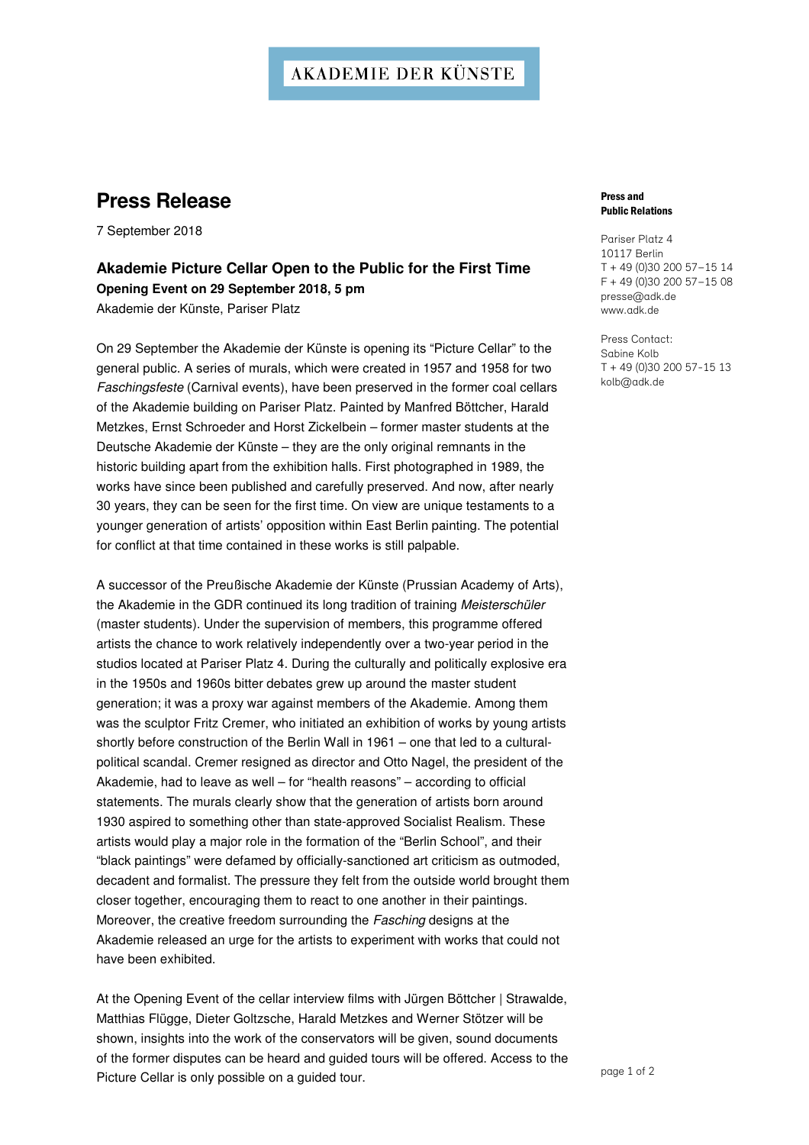### **AKADEMIE DER KÜNSTE**

# **Press Release**

7 September 2018

### **Akademie Picture Cellar Open to the Public for the First Time Opening Event on 29 September 2018, 5 pm**  Akademie der Künste, Pariser Platz

On 29 September the Akademie der Künste is opening its "Picture Cellar" to the general public. A series of murals, which were created in 1957 and 1958 for two Faschingsfeste (Carnival events), have been preserved in the former coal cellars of the Akademie building on Pariser Platz. Painted by Manfred Böttcher, Harald Metzkes, Ernst Schroeder and Horst Zickelbein – former master students at the Deutsche Akademie der Künste – they are the only original remnants in the historic building apart from the exhibition halls. First photographed in 1989, the works have since been published and carefully preserved. And now, after nearly 30 years, they can be seen for the first time. On view are unique testaments to a younger generation of artists' opposition within East Berlin painting. The potential for conflict at that time contained in these works is still palpable.

A successor of the Preußische Akademie der Künste (Prussian Academy of Arts), the Akademie in the GDR continued its long tradition of training Meisterschüler (master students). Under the supervision of members, this programme offered artists the chance to work relatively independently over a two-year period in the studios located at Pariser Platz 4. During the culturally and politically explosive era in the 1950s and 1960s bitter debates grew up around the master student generation; it was a proxy war against members of the Akademie. Among them was the sculptor Fritz Cremer, who initiated an exhibition of works by young artists shortly before construction of the Berlin Wall in 1961 – one that led to a culturalpolitical scandal. Cremer resigned as director and Otto Nagel, the president of the Akademie, had to leave as well – for "health reasons" – according to official statements. The murals clearly show that the generation of artists born around 1930 aspired to something other than state-approved Socialist Realism. These artists would play a major role in the formation of the "Berlin School", and their "black paintings" were defamed by officially-sanctioned art criticism as outmoded, decadent and formalist. The pressure they felt from the outside world brought them closer together, encouraging them to react to one another in their paintings. Moreover, the creative freedom surrounding the Fasching designs at the Akademie released an urge for the artists to experiment with works that could not have been exhibited.

At the Opening Event of the cellar interview films with Jürgen Böttcher | Strawalde, Matthias Flügge, Dieter Goltzsche, Harald Metzkes and Werner Stötzer will be shown, insights into the work of the conservators will be given, sound documents of the former disputes can be heard and guided tours will be offered. Access to the Picture Cellar is only possible on a guided tour.

#### Press and Public Relations

Pariser Platz 4 10117 Berlin T + 49 (0)30 200 57–15 14 F + 49 (0)30 200 57–15 08 presse@adk.de www.adk.de

Press Contact: Sabine Kolb T + 49 (0)30 200 57-15 13 kolb@adk.de